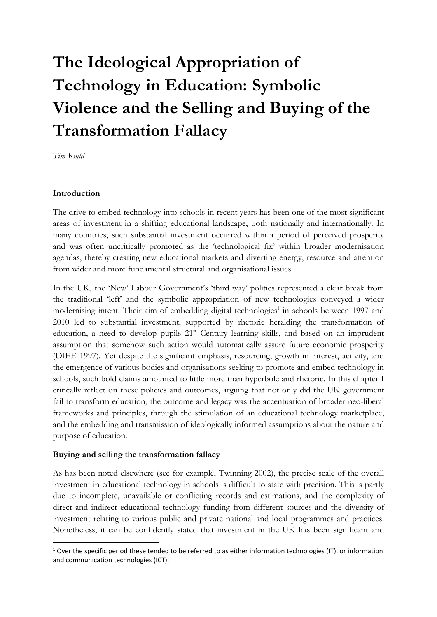# **The Ideological Appropriation of Technology in Education: Symbolic Violence and the Selling and Buying of the Transformation Fallacy**

*Tim Rudd*

1

## **Introduction**

The drive to embed technology into schools in recent years has been one of the most significant areas of investment in a shifting educational landscape, both nationally and internationally. In many countries, such substantial investment occurred within a period of perceived prosperity and was often uncritically promoted as the 'technological fix' within broader modernisation agendas, thereby creating new educational markets and diverting energy, resource and attention from wider and more fundamental structural and organisational issues.

In the UK, the 'New' Labour Government's 'third way' politics represented a clear break from the traditional 'left' and the symbolic appropriation of new technologies conveyed a wider modernising intent. Their aim of embedding digital technologies<sup>1</sup> in schools between 1997 and 2010 led to substantial investment, supported by rhetoric heralding the transformation of education, a need to develop pupils  $21^{st}$  Century learning skills, and based on an imprudent assumption that somehow such action would automatically assure future economic prosperity (DfEE 1997). Yet despite the significant emphasis, resourcing, growth in interest, activity, and the emergence of various bodies and organisations seeking to promote and embed technology in schools, such bold claims amounted to little more than hyperbole and rhetoric. In this chapter I critically reflect on these policies and outcomes, arguing that not only did the UK government fail to transform education, the outcome and legacy was the accentuation of broader neo-liberal frameworks and principles, through the stimulation of an educational technology marketplace, and the embedding and transmission of ideologically informed assumptions about the nature and purpose of education.

## **Buying and selling the transformation fallacy**

As has been noted elsewhere (see for example, Twinning 2002), the precise scale of the overall investment in educational technology in schools is difficult to state with precision. This is partly due to incomplete, unavailable or conflicting records and estimations, and the complexity of direct and indirect educational technology funding from different sources and the diversity of investment relating to various public and private national and local programmes and practices. Nonetheless, it can be confidently stated that investment in the UK has been significant and

 $1$  Over the specific period these tended to be referred to as either information technologies (IT), or information and communication technologies (ICT).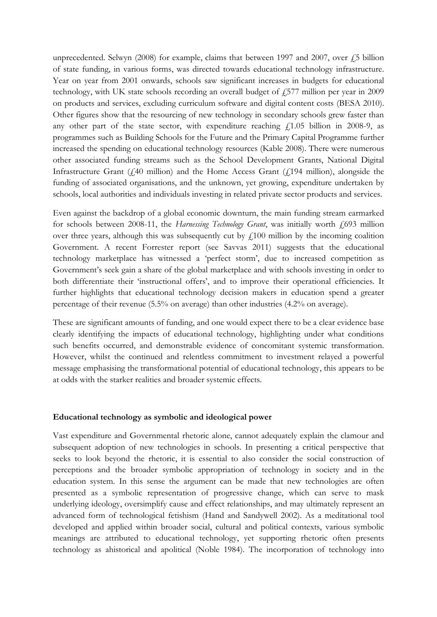unprecedented. Selwyn (2008) for example, claims that between 1997 and 2007, over  $\ddot{1}5$  billion of state funding, in various forms, was directed towards educational technology infrastructure. Year on year from 2001 onwards, schools saw significant increases in budgets for educational technology, with UK state schools recording an overall budget of  $f_{1577}$  million per year in 2009 on products and services, excluding curriculum software and digital content costs (BESA 2010). Other figures show that the resourcing of new technology in secondary schools grew faster than any other part of the state sector, with expenditure reaching  $\ddot{\rm f}$  1.05 billion in 2008-9, as programmes such as Building Schools for the Future and the Primary Capital Programme further increased the spending on educational technology resources (Kable 2008). There were numerous other associated funding streams such as the School Development Grants, National Digital Infrastructure Grant  $(f,40 \text{ million})$  and the Home Access Grant  $(f,194 \text{ million})$ , alongside the funding of associated organisations, and the unknown, yet growing, expenditure undertaken by schools, local authorities and individuals investing in related private sector products and services.

Even against the backdrop of a global economic downturn, the main funding stream earmarked for schools between 2008-11, the *Harnessing Technology Grant*, was initially worth  $f(693)$  million over three years, although this was subsequently cut by  $f<sub>100</sub>$  million by the incoming coalition Government. A recent Forrester report (see Savvas 2011) suggests that the educational technology marketplace has witnessed a 'perfect storm', due to increased competition as Government's seek gain a share of the global marketplace and with schools investing in order to both differentiate their 'instructional offers', and to improve their operational efficiencies. It further highlights that educational technology decision makers in education spend a greater percentage of their revenue (5.5% on average) than other industries (4.2% on average).

These are significant amounts of funding, and one would expect there to be a clear evidence base clearly identifying the impacts of educational technology, highlighting under what conditions such benefits occurred, and demonstrable evidence of concomitant systemic transformation. However, whilst the continued and relentless commitment to investment relayed a powerful message emphasising the transformational potential of educational technology, this appears to be at odds with the starker realities and broader systemic effects.

## **Educational technology as symbolic and ideological power**

Vast expenditure and Governmental rhetoric alone, cannot adequately explain the clamour and subsequent adoption of new technologies in schools. In presenting a critical perspective that seeks to look beyond the rhetoric, it is essential to also consider the social construction of perceptions and the broader symbolic appropriation of technology in society and in the education system. In this sense the argument can be made that new technologies are often presented as a symbolic representation of progressive change, which can serve to mask underlying ideology, oversimplify cause and effect relationships, and may ultimately represent an advanced form of technological fetishism (Hand and Sandywell 2002). As a meditational tool developed and applied within broader social, cultural and political contexts, various symbolic meanings are attributed to educational technology, yet supporting rhetoric often presents technology as ahistorical and apolitical (Noble 1984). The incorporation of technology into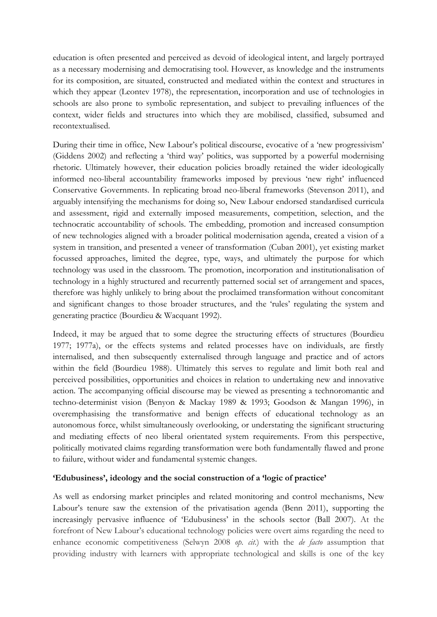education is often presented and perceived as devoid of ideological intent, and largely portrayed as a necessary modernising and democratising tool. However, as knowledge and the instruments for its composition, are situated, constructed and mediated within the context and structures in which they appear (Leontev 1978), the representation, incorporation and use of technologies in schools are also prone to symbolic representation, and subject to prevailing influences of the context, wider fields and structures into which they are mobilised, classified, subsumed and recontextualised.

During their time in office, New Labour's political discourse, evocative of a 'new progressivism' (Giddens 2002) and reflecting a 'third way' politics, was supported by a powerful modernising rhetoric. Ultimately however, their education policies broadly retained the wider ideologically informed neo-liberal accountability frameworks imposed by previous 'new right' influenced Conservative Governments. In replicating broad neo-liberal frameworks (Stevenson 2011), and arguably intensifying the mechanisms for doing so, New Labour endorsed standardised curricula and assessment, rigid and externally imposed measurements, competition, selection, and the technocratic accountability of schools. The embedding, promotion and increased consumption of new technologies aligned with a broader political modernisation agenda, created a vision of a system in transition, and presented a veneer of transformation (Cuban 2001), yet existing market focussed approaches, limited the degree, type, ways, and ultimately the purpose for which technology was used in the classroom. The promotion, incorporation and institutionalisation of technology in a highly structured and recurrently patterned social set of arrangement and spaces, therefore was highly unlikely to bring about the proclaimed transformation without concomitant and significant changes to those broader structures, and the 'rules' regulating the system and generating practice (Bourdieu & Wacquant 1992).

Indeed, it may be argued that to some degree the structuring effects of structures (Bourdieu 1977; 1977a), or the effects systems and related processes have on individuals, are firstly internalised, and then subsequently externalised through language and practice and of actors within the field (Bourdieu 1988). Ultimately this serves to regulate and limit both real and perceived possibilities, opportunities and choices in relation to undertaking new and innovative action. The accompanying official discourse may be viewed as presenting a technoromantic and techno-determinist vision (Benyon & Mackay 1989 & 1993; Goodson & Mangan 1996), in overemphasising the transformative and benign effects of educational technology as an autonomous force, whilst simultaneously overlooking, or understating the significant structuring and mediating effects of neo liberal orientated system requirements. From this perspective, politically motivated claims regarding transformation were both fundamentally flawed and prone to failure, without wider and fundamental systemic changes.

## **'Edubusiness', ideology and the social construction of a 'logic of practice'**

As well as endorsing market principles and related monitoring and control mechanisms, New Labour's tenure saw the extension of the privatisation agenda (Benn 2011), supporting the increasingly pervasive influence of 'Edubusiness' in the schools sector (Ball 2007). At the forefront of New Labour's educational technology policies were overt aims regarding the need to enhance economic competitiveness (Selwyn 2008 *op. cit*.) with the *de facto* assumption that providing industry with learners with appropriate technological and skills is one of the key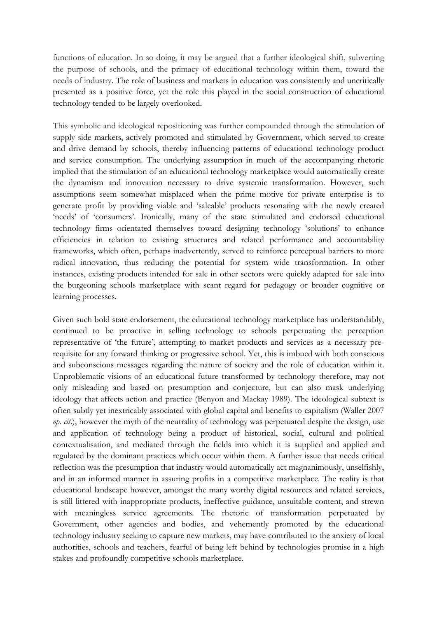functions of education. In so doing, it may be argued that a further ideological shift, subverting the purpose of schools, and the primacy of educational technology within them, toward the needs of industry. The role of business and markets in education was consistently and uncritically presented as a positive force, yet the role this played in the social construction of educational technology tended to be largely overlooked.

This symbolic and ideological repositioning was further compounded through the stimulation of supply side markets, actively promoted and stimulated by Government, which served to create and drive demand by schools, thereby influencing patterns of educational technology product and service consumption. The underlying assumption in much of the accompanying rhetoric implied that the stimulation of an educational technology marketplace would automatically create the dynamism and innovation necessary to drive systemic transformation. However, such assumptions seem somewhat misplaced when the prime motive for private enterprise is to generate profit by providing viable and 'saleable' products resonating with the newly created 'needs' of 'consumers'. Ironically, many of the state stimulated and endorsed educational technology firms orientated themselves toward designing technology 'solutions' to enhance efficiencies in relation to existing structures and related performance and accountability frameworks, which often, perhaps inadvertently, served to reinforce perceptual barriers to more radical innovation, thus reducing the potential for system wide transformation. In other instances, existing products intended for sale in other sectors were quickly adapted for sale into the burgeoning schools marketplace with scant regard for pedagogy or broader cognitive or learning processes.

Given such bold state endorsement, the educational technology marketplace has understandably, continued to be proactive in selling technology to schools perpetuating the perception representative of 'the future', attempting to market products and services as a necessary prerequisite for any forward thinking or progressive school. Yet, this is imbued with both conscious and subconscious messages regarding the nature of society and the role of education within it. Unproblematic visions of an educational future transformed by technology therefore, may not only misleading and based on presumption and conjecture, but can also mask underlying ideology that affects action and practice (Benyon and Mackay 1989). The ideological subtext is often subtly yet inextricably associated with global capital and benefits to capitalism (Waller 2007 *op. cit*.), however the myth of the neutrality of technology was perpetuated despite the design, use and application of technology being a product of historical, social, cultural and political contextualisation, and mediated through the fields into which it is supplied and applied and regulated by the dominant practices which occur within them. A further issue that needs critical reflection was the presumption that industry would automatically act magnanimously, unselfishly, and in an informed manner in assuring profits in a competitive marketplace. The reality is that educational landscape however, amongst the many worthy digital resources and related services, is still littered with inappropriate products, ineffective guidance, unsuitable content, and strewn with meaningless service agreements. The rhetoric of transformation perpetuated by Government, other agencies and bodies, and vehemently promoted by the educational technology industry seeking to capture new markets, may have contributed to the anxiety of local authorities, schools and teachers, fearful of being left behind by technologies promise in a high stakes and profoundly competitive schools marketplace.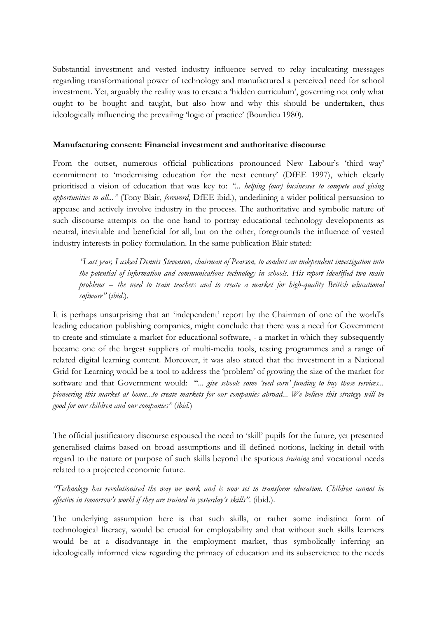Substantial investment and vested industry influence served to relay inculcating messages regarding transformational power of technology and manufactured a perceived need for school investment. Yet, arguably the reality was to create a 'hidden curriculum', governing not only what ought to be bought and taught, but also how and why this should be undertaken, thus ideologically influencing the prevailing 'logic of practice' (Bourdieu 1980).

#### **Manufacturing consent: Financial investment and authoritative discourse**

From the outset, numerous official publications pronounced New Labour's 'third way' commitment to 'modernising education for the next century' (DfEE 1997), which clearly prioritised a vision of education that was key to: *"... helping (our) businesses to compete and giving opportunities to all..."* (Tony Blair, *foreword*, DfEE ibid.), underlining a wider political persuasion to appease and actively involve industry in the process. The authoritative and symbolic nature of such discourse attempts on the one hand to portray educational technology developments as neutral, inevitable and beneficial for all, but on the other, foregrounds the influence of vested industry interests in policy formulation. In the same publication Blair stated:

*"Last year, I asked Dennis Stevenson, chairman of Pearson, to conduct an independent investigation into the potential of information and communications technology in schools. His report identified two main problems – the need to train teachers and to create a market for high-quality British educational software"* (*ibid*.).

It is perhaps unsurprising that an 'independent' report by the Chairman of one of the world's leading education publishing companies, might conclude that there was a need for Government to create and stimulate a market for educational software, - a market in which they subsequently became one of the largest suppliers of multi-media tools, testing programmes and a range of related digital learning content. Moreover, it was also stated that the investment in a National Grid for Learning would be a tool to address the 'problem' of growing the size of the market for software and that Government would: "*... give schools some 'seed corn' funding to buy those services... pioneering this market at home...to create markets for our companies abroad... We believe this strategy will be good for our children and our companies"* (*ibid*.)

The official justificatory discourse espoused the need to 'skill' pupils for the future, yet presented generalised claims based on broad assumptions and ill defined notions, lacking in detail with regard to the nature or purpose of such skills beyond the spurious *training* and vocational needs related to a projected economic future.

## *"Technology has revolutionised the way we work and is now set to transform education. Children cannot be effective in tomorrow's world if they are trained in yesterday's skills"*. (ibid.).

The underlying assumption here is that such skills, or rather some indistinct form of technological literacy, would be crucial for employability and that without such skills learners would be at a disadvantage in the employment market, thus symbolically inferring an ideologically informed view regarding the primacy of education and its subservience to the needs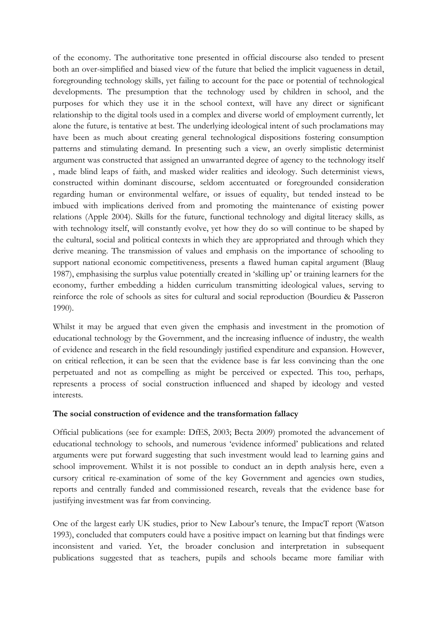of the economy. The authoritative tone presented in official discourse also tended to present both an over-simplified and biased view of the future that belied the implicit vagueness in detail, foregrounding technology skills, yet failing to account for the pace or potential of technological developments. The presumption that the technology used by children in school, and the purposes for which they use it in the school context, will have any direct or significant relationship to the digital tools used in a complex and diverse world of employment currently, let alone the future, is tentative at best. The underlying ideological intent of such proclamations may have been as much about creating general technological dispositions fostering consumption patterns and stimulating demand. In presenting such a view, an overly simplistic determinist argument was constructed that assigned an unwarranted degree of agency to the technology itself , made blind leaps of faith, and masked wider realities and ideology. Such determinist views, constructed within dominant discourse, seldom accentuated or foregrounded consideration regarding human or environmental welfare, or issues of equality, but tended instead to be imbued with implications derived from and promoting the maintenance of existing power relations (Apple 2004). Skills for the future, functional technology and digital literacy skills, as with technology itself, will constantly evolve, yet how they do so will continue to be shaped by the cultural, social and political contexts in which they are appropriated and through which they derive meaning. The transmission of values and emphasis on the importance of schooling to support national economic competitiveness, presents a flawed human capital argument (Blaug 1987), emphasising the surplus value potentially created in 'skilling up' or training learners for the economy, further embedding a hidden curriculum transmitting ideological values, serving to reinforce the role of schools as sites for cultural and social reproduction (Bourdieu & Passeron 1990).

Whilst it may be argued that even given the emphasis and investment in the promotion of educational technology by the Government, and the increasing influence of industry, the wealth of evidence and research in the field resoundingly justified expenditure and expansion. However, on critical reflection, it can be seen that the evidence base is far less convincing than the one perpetuated and not as compelling as might be perceived or expected. This too, perhaps, represents a process of social construction influenced and shaped by ideology and vested interests.

## **The social construction of evidence and the transformation fallacy**

Official publications (see for example: DfES, 2003; Becta 2009) promoted the advancement of educational technology to schools, and numerous 'evidence informed' publications and related arguments were put forward suggesting that such investment would lead to learning gains and school improvement. Whilst it is not possible to conduct an in depth analysis here, even a cursory critical re-examination of some of the key Government and agencies own studies, reports and centrally funded and commissioned research, reveals that the evidence base for justifying investment was far from convincing.

One of the largest early UK studies, prior to New Labour's tenure, the ImpacT report (Watson 1993), concluded that computers could have a positive impact on learning but that findings were inconsistent and varied. Yet, the broader conclusion and interpretation in subsequent publications suggested that as teachers, pupils and schools became more familiar with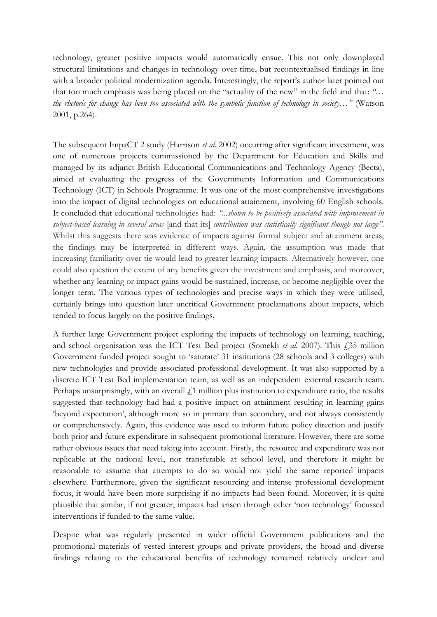technology, greater positive impacts would automatically ensue. This not only downplayed structural limitations and changes in technology over time, but recontextualised findings in line with a broader political modernization agenda. Interestingly, the report's author later pointed out that too much emphasis was being placed on the "actuality of the new" in the field and that: *"… the rhetoric for change has been too associated with the symbolic function of technology in society…"* (Watson 2001, p.264).

The subsequent ImpaCT 2 study (Harrison *et al.* 2002) occurring after significant investment, was one of numerous projects commissioned by the Department for Education and Skills and managed by its adjunct British Educational Communications and Technology Agency (Becta), aimed at evaluating the progress of the Governments Information and Communications Technology (ICT) in Schools Programme. It was one of the most comprehensive investigations into the impact of digital technologies on educational attainment, involving 60 English schools. It concluded that educational technologies had: *"...shown to be positively associated with improvement in subject-based learning in several areas* [and that its] *contribution was statistically significant though not large".* Whilst this suggests there was evidence of impacts against formal subject and attainment areas, the findings may be interpreted in different ways. Again, the assumption was made that increasing familiarity over tie would lead to greater learning impacts. Alternatively however, one could also question the extent of any benefits given the investment and emphasis, and moreover, whether any learning or impact gains would be sustained, increase, or become negligible over the longer term. The various types of technologies and precise ways in which they were utilised, certainly brings into question later uncritical Government proclamations about impacts, which tended to focus largely on the positive findings.

A further large Government project exploring the impacts of technology on learning, teaching, and school organisation was the ICT Test Bed project (Somekh *et al.* 2007). This £35 million Government funded project sought to 'saturate' 31 institutions (28 schools and 3 colleges) with new technologies and provide associated professional development. It was also supported by a discrete ICT Test Bed implementation team, as well as an independent external research team. Perhaps unsurprisingly, with an overall  $f<sub>1</sub>$  million plus institution to expenditure ratio, the results suggested that technology had had a positive impact on attainment resulting in learning gains 'beyond expectation', although more so in primary than secondary, and not always consistently or comprehensively. Again, this evidence was used to inform future policy direction and justify both prior and future expenditure in subsequent promotional literature. However, there are some rather obvious issues that need taking into account. Firstly, the resource and expenditure was not replicable at the national level, nor transferable at school level, and therefore it might be reasonable to assume that attempts to do so would not yield the same reported impacts elsewhere. Furthermore, given the significant resourcing and intense professional development focus, it would have been more surprising if no impacts had been found. Moreover, it is quite plausible that similar, if not greater, impacts had arisen through other 'non technology' focussed interventions if funded to the same value.

Despite what was regularly presented in wider official Government publications and the promotional materials of vested interest groups and private providers, the broad and diverse findings relating to the educational benefits of technology remained relatively unclear and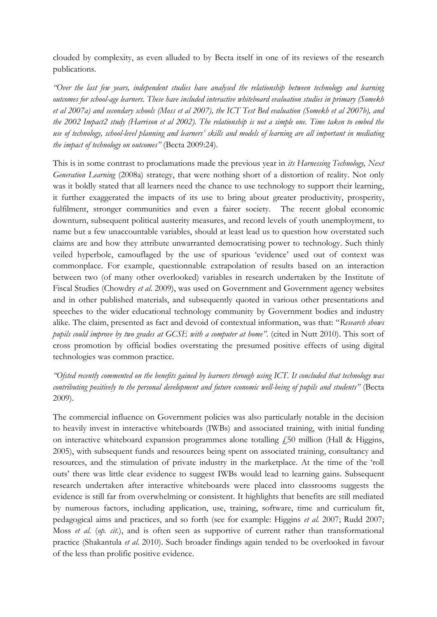clouded by complexity, as even alluded to by Becta itself in one of its reviews of the research publications.

*"Over the last few years, independent studies have analysed the relationship between technology and learning outcomes for school-age learners. These have included interactive whiteboard evaluation studies in primary (Somekh et al 2007a) and secondary schools (Moss et al 2007), the ICT Test Bed evaluation (Somekh et al 2007b), and the 2002 Impact2 study (Harrison et al 2002). The relationship is not a simple one. Time taken to embed the use of technology, school-level planning and learners' skills and models of learning are all important in mediating the impact of technology on outcomes"* (Becta 2009:24).

This is in some contrast to proclamations made the previous year in *its Harnessing Technology, Next Generation Learning* (2008a) strategy, that were nothing short of a distortion of reality. Not only was it boldly stated that all learners need the chance to use technology to support their learning, it further exaggerated the impacts of its use to bring about greater productivity, prosperity, fulfilment, stronger communities and even a fairer society. The recent global economic downturn, subsequent political austerity measures, and record levels of youth unemployment, to name but a few unaccountable variables, should at least lead us to question how overstated such claims are and how they attribute unwarranted democratising power to technology. Such thinly veiled hyperbole, camouflaged by the use of spurious 'evidence' used out of context was commonplace. For example, questionnable extrapolation of results based on an interaction between two (of many other overlooked) variables in research undertaken by the Institute of Fiscal Studies (Chowdry *et al*. 2009), was used on Government and Government agency websites and in other published materials, and subsequently quoted in various other presentations and speeches to the wider educational technology community by Government bodies and industry alike. The claim, presented as fact and devoid of contextual information, was that: "*Research shows pupils could improve by two grades at GCSE with a computer at home"*. (cited in Nutt 2010). This sort of cross promotion by official bodies overstating the presumed positive effects of using digital technologies was common practice.

*"Ofsted recently commented on the benefits gained by learners through using ICT. It concluded that technology was contributing positively to the personal development and future economic well-being of pupils and students"* (Becta 2009).

The commercial influence on Government policies was also particularly notable in the decision to heavily invest in interactive whiteboards (IWBs) and associated training, with initial funding on interactive whiteboard expansion programmes alone totalling  $f$ 50 million (Hall & Higgins, 2005), with subsequent funds and resources being spent on associated training, consultancy and resources, and the stimulation of private industry in the marketplace. At the time of the 'roll outs' there was little clear evidence to suggest IWBs would lead to learning gains. Subsequent research undertaken after interactive whiteboards were placed into classrooms suggests the evidence is still far from overwhelming or consistent. It highlights that benefits are still mediated by numerous factors, including application, use, training, software, time and curriculum fit, pedagogical aims and practices, and so forth (see for example: Higgins *et al.* 2007; Rudd 2007; Moss *et al.* (*op. cit*.), and is often seen as supportive of current rather than transformational practice (Shakantula *et al*. 2010). Such broader findings again tended to be overlooked in favour of the less than prolific positive evidence.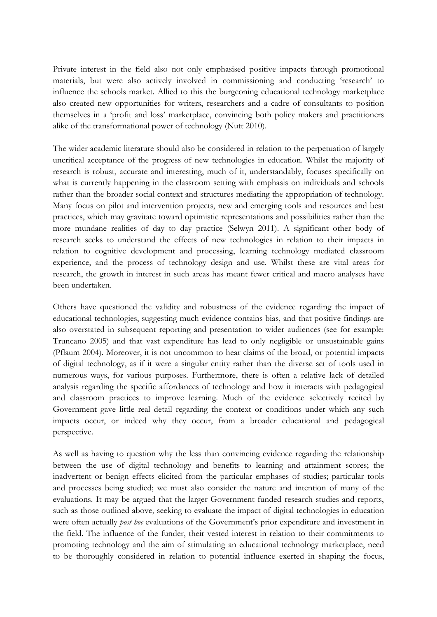Private interest in the field also not only emphasised positive impacts through promotional materials, but were also actively involved in commissioning and conducting 'research' to influence the schools market. Allied to this the burgeoning educational technology marketplace also created new opportunities for writers, researchers and a cadre of consultants to position themselves in a 'profit and loss' marketplace, convincing both policy makers and practitioners alike of the transformational power of technology (Nutt 2010).

The wider academic literature should also be considered in relation to the perpetuation of largely uncritical acceptance of the progress of new technologies in education. Whilst the majority of research is robust, accurate and interesting, much of it, understandably, focuses specifically on what is currently happening in the classroom setting with emphasis on individuals and schools rather than the broader social context and structures mediating the appropriation of technology. Many focus on pilot and intervention projects, new and emerging tools and resources and best practices, which may gravitate toward optimistic representations and possibilities rather than the more mundane realities of day to day practice (Selwyn 2011). A significant other body of research seeks to understand the effects of new technologies in relation to their impacts in relation to cognitive development and processing, learning technology mediated classroom experience, and the process of technology design and use. Whilst these are vital areas for research, the growth in interest in such areas has meant fewer critical and macro analyses have been undertaken.

Others have questioned the validity and robustness of the evidence regarding the impact of educational technologies, suggesting much evidence contains bias, and that positive findings are also overstated in subsequent reporting and presentation to wider audiences (see for example: Truncano 2005) and that vast expenditure has lead to only negligible or unsustainable gains (Pflaum 2004). Moreover, it is not uncommon to hear claims of the broad, or potential impacts of digital technology, as if it were a singular entity rather than the diverse set of tools used in numerous ways, for various purposes. Furthermore, there is often a relative lack of detailed analysis regarding the specific affordances of technology and how it interacts with pedagogical and classroom practices to improve learning. Much of the evidence selectively recited by Government gave little real detail regarding the context or conditions under which any such impacts occur, or indeed why they occur, from a broader educational and pedagogical perspective.

As well as having to question why the less than convincing evidence regarding the relationship between the use of digital technology and benefits to learning and attainment scores; the inadvertent or benign effects elicited from the particular emphases of studies; particular tools and processes being studied; we must also consider the nature and intention of many of the evaluations. It may be argued that the larger Government funded research studies and reports, such as those outlined above, seeking to evaluate the impact of digital technologies in education were often actually *post hoc* evaluations of the Government's prior expenditure and investment in the field. The influence of the funder, their vested interest in relation to their commitments to promoting technology and the aim of stimulating an educational technology marketplace, need to be thoroughly considered in relation to potential influence exerted in shaping the focus,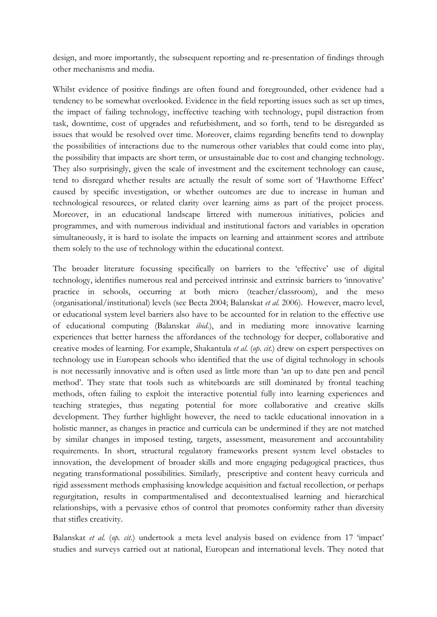design, and more importantly, the subsequent reporting and re-presentation of findings through other mechanisms and media.

Whilst evidence of positive findings are often found and foregrounded, other evidence had a tendency to be somewhat overlooked. Evidence in the field reporting issues such as set up times, the impact of failing technology, ineffective teaching with technology, pupil distraction from task, downtime, cost of upgrades and refurbishment, and so forth, tend to be disregarded as issues that would be resolved over time. Moreover, claims regarding benefits tend to downplay the possibilities of interactions due to the numerous other variables that could come into play, the possibility that impacts are short term, or unsustainable due to cost and changing technology. They also surprisingly, given the scale of investment and the excitement technology can cause, tend to disregard whether results are actually the result of some sort of 'Hawthorne Effect' caused by specific investigation, or whether outcomes are due to increase in human and technological resources, or related clarity over learning aims as part of the project process. Moreover, in an educational landscape littered with numerous initiatives, policies and programmes, and with numerous individual and institutional factors and variables in operation simultaneously, it is hard to isolate the impacts on learning and attainment scores and attribute them solely to the use of technology within the educational context.

The broader literature focussing specifically on barriers to the 'effective' use of digital technology, identifies numerous real and perceived intrinsic and extrinsic barriers to 'innovative' practice in schools, occurring at both micro (teacher/classroom), and the meso (organisational/institutional) levels (see Becta 2004; Balanskat *et al.* 2006). However, macro level, or educational system level barriers also have to be accounted for in relation to the effective use of educational computing (Balanskat *ibid*.), and in mediating more innovative learning experiences that better harness the affordances of the technology for deeper, collaborative and creative modes of learning. For example, Shakantula *et al*. (*op. cit*.) drew on expert perspectives on technology use in European schools who identified that the use of digital technology in schools is not necessarily innovative and is often used as little more than 'an up to date pen and pencil method'. They state that tools such as whiteboards are still dominated by frontal teaching methods, often failing to exploit the interactive potential fully into learning experiences and teaching strategies, thus negating potential for more collaborative and creative skills development. They further highlight however, the need to tackle educational innovation in a holistic manner, as changes in practice and curricula can be undermined if they are not matched by similar changes in imposed testing, targets, assessment, measurement and accountability requirements. In short, structural regulatory frameworks present system level obstacles to innovation, the development of broader skills and more engaging pedagogical practices, thus negating transformational possibilities. Similarly, prescriptive and content heavy curricula and rigid assessment methods emphasising knowledge acquisition and factual recollection, or perhaps regurgitation, results in compartmentalised and decontextualised learning and hierarchical relationships, with a pervasive ethos of control that promotes conformity rather than diversity that stifles creativity.

Balanskat *et al.* (*op. cit*.) undertook a meta level analysis based on evidence from 17 'impact' studies and surveys carried out at national, European and international levels. They noted that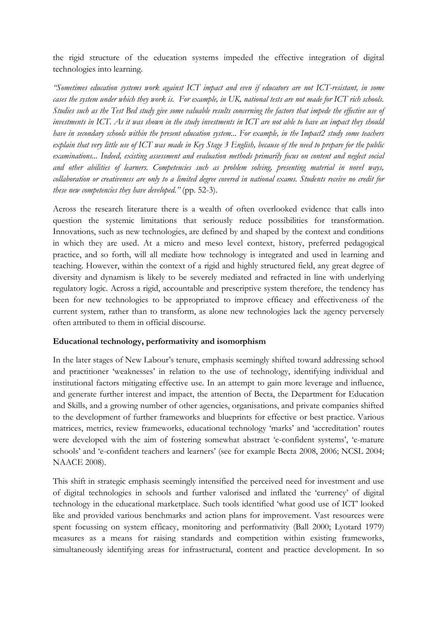the rigid structure of the education systems impeded the effective integration of digital technologies into learning.

*"Sometimes education systems work against ICT impact and even if educators are not ICT-resistant, in some cases the system under which they work is. For example, in UK, national tests are not made for ICT rich schools. Studies such as the Test Bed study give some valuable results concerning the factors that impede the effective use of investments in ICT. As it was shown in the study investments in ICT are not able to have an impact they should have in secondary schools within the present education system... For example, in the Impact2 study some teachers explain that very little use of ICT was made in Key Stage 3 English, because of the need to prepare for the public examinations... Indeed, existing assessment and evaluation methods primarily focus on content and neglect social and other abilities of learners. Competencies such as problem solving, presenting material in novel ways, collaboration or creativeness are only to a limited degree covered in national exams. Students receive no credit for these new competencies they have developed."* (pp. 52-3).

Across the research literature there is a wealth of often overlooked evidence that calls into question the systemic limitations that seriously reduce possibilities for transformation. Innovations, such as new technologies, are defined by and shaped by the context and conditions in which they are used. At a micro and meso level context, history, preferred pedagogical practice, and so forth, will all mediate how technology is integrated and used in learning and teaching. However, within the context of a rigid and highly structured field, any great degree of diversity and dynamism is likely to be severely mediated and refracted in line with underlying regulatory logic. Across a rigid, accountable and prescriptive system therefore, the tendency has been for new technologies to be appropriated to improve efficacy and effectiveness of the current system, rather than to transform, as alone new technologies lack the agency perversely often attributed to them in official discourse.

## **Educational technology, performativity and isomorphism**

In the later stages of New Labour's tenure, emphasis seemingly shifted toward addressing school and practitioner 'weaknesses' in relation to the use of technology, identifying individual and institutional factors mitigating effective use. In an attempt to gain more leverage and influence, and generate further interest and impact, the attention of Becta, the Department for Education and Skills, and a growing number of other agencies, organisations, and private companies shifted to the development of further frameworks and blueprints for effective or best practice. Various matrices, metrics, review frameworks, educational technology 'marks' and 'accreditation' routes were developed with the aim of fostering somewhat abstract 'e-confident systems', 'e-mature schools' and 'e-confident teachers and learners' (see for example Becta 2008, 2006; NCSL 2004; NAACE 2008).

This shift in strategic emphasis seemingly intensified the perceived need for investment and use of digital technologies in schools and further valorised and inflated the 'currency' of digital technology in the educational marketplace. Such tools identified 'what good use of ICT' looked like and provided various benchmarks and action plans for improvement. Vast resources were spent focussing on system efficacy, monitoring and performativity (Ball 2000; Lyotard 1979) measures as a means for raising standards and competition within existing frameworks, simultaneously identifying areas for infrastructural, content and practice development. In so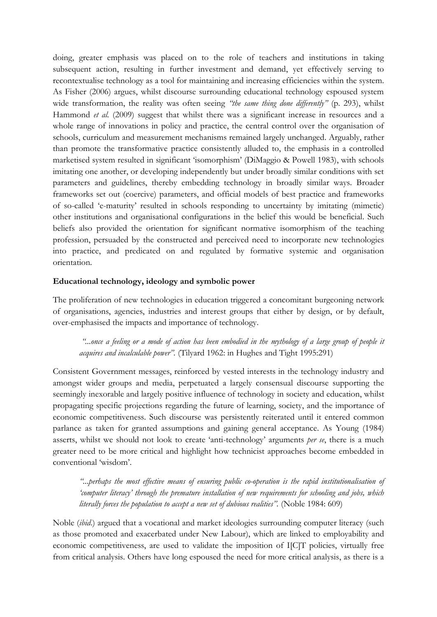doing, greater emphasis was placed on to the role of teachers and institutions in taking subsequent action, resulting in further investment and demand, yet effectively serving to recontextualise technology as a tool for maintaining and increasing efficiencies within the system. As Fisher (2006) argues, whilst discourse surrounding educational technology espoused system wide transformation, the reality was often seeing *"the same thing done differently"* (p. 293), whilst Hammond *et al.* (2009) suggest that whilst there was a significant increase in resources and a whole range of innovations in policy and practice, the central control over the organisation of schools, curriculum and measurement mechanisms remained largely unchanged. Arguably, rather than promote the transformative practice consistently alluded to, the emphasis in a controlled marketised system resulted in significant 'isomorphism' (DiMaggio & Powell 1983), with schools imitating one another, or developing independently but under broadly similar conditions with set parameters and guidelines, thereby embedding technology in broadly similar ways. Broader frameworks set out (coercive) parameters, and official models of best practice and frameworks of so-called 'e-maturity' resulted in schools responding to uncertainty by imitating (mimetic) other institutions and organisational configurations in the belief this would be beneficial. Such beliefs also provided the orientation for significant normative isomorphism of the teaching profession, persuaded by the constructed and perceived need to incorporate new technologies into practice, and predicated on and regulated by formative systemic and organisation orientation.

## **Educational technology, ideology and symbolic power**

The proliferation of new technologies in education triggered a concomitant burgeoning network of organisations, agencies, industries and interest groups that either by design, or by default, over-emphasised the impacts and importance of technology.

*"...once a feeling or a mode of action has been embodied in the mythology of a large group of people it acquires and incalculable power".* (Tilyard 1962: in Hughes and Tight 1995:291)

Consistent Government messages, reinforced by vested interests in the technology industry and amongst wider groups and media, perpetuated a largely consensual discourse supporting the seemingly inexorable and largely positive influence of technology in society and education, whilst propagating specific projections regarding the future of learning, society, and the importance of economic competitiveness. Such discourse was persistently reiterated until it entered common parlance as taken for granted assumptions and gaining general acceptance. As Young (1984) asserts, whilst we should not look to create 'anti-technology' arguments *per se*, there is a much greater need to be more critical and highlight how technicist approaches become embedded in conventional 'wisdom'.

*"...perhaps the most effective means of ensuring public co-operation is the rapid institutionalisation of 'computer literacy' through the premature installation of new requirements for schooling and jobs, which literally forces the population to accept a new set of dubious realities".* (Noble 1984: 609)

Noble (*ibid*.) argued that a vocational and market ideologies surrounding computer literacy (such as those promoted and exacerbated under New Labour), which are linked to employability and economic competitiveness, are used to validate the imposition of I[C]T policies, virtually free from critical analysis. Others have long espoused the need for more critical analysis, as there is a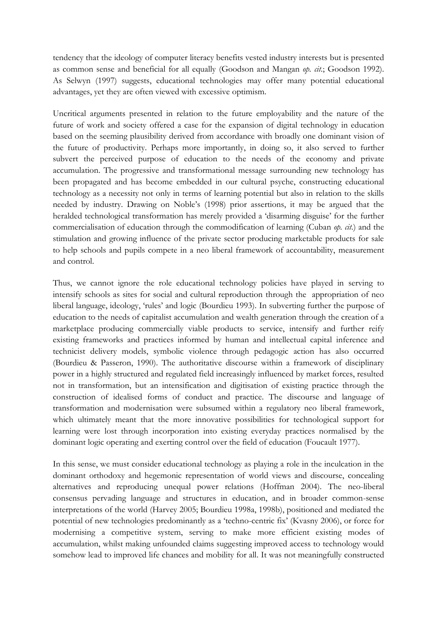tendency that the ideology of computer literacy benefits vested industry interests but is presented as common sense and beneficial for all equally (Goodson and Mangan *op. cit*.; Goodson 1992). As Selwyn (1997) suggests, educational technologies may offer many potential educational advantages, yet they are often viewed with excessive optimism.

Uncritical arguments presented in relation to the future employability and the nature of the future of work and society offered a case for the expansion of digital technology in education based on the seeming plausibility derived from accordance with broadly one dominant vision of the future of productivity. Perhaps more importantly, in doing so, it also served to further subvert the perceived purpose of education to the needs of the economy and private accumulation. The progressive and transformational message surrounding new technology has been propagated and has become embedded in our cultural psyche, constructing educational technology as a necessity not only in terms of learning potential but also in relation to the skills needed by industry. Drawing on Noble's (1998) prior assertions, it may be argued that the heralded technological transformation has merely provided a 'disarming disguise' for the further commercialisation of education through the commodification of learning (Cuban *op. cit*.) and the stimulation and growing influence of the private sector producing marketable products for sale to help schools and pupils compete in a neo liberal framework of accountability, measurement and control.

Thus, we cannot ignore the role educational technology policies have played in serving to intensify schools as sites for social and cultural reproduction through the appropriation of neo liberal language, ideology, 'rules' and logic (Bourdieu 1993). In subverting further the purpose of education to the needs of capitalist accumulation and wealth generation through the creation of a marketplace producing commercially viable products to service, intensify and further reify existing frameworks and practices informed by human and intellectual capital inference and technicist delivery models, symbolic violence through pedagogic action has also occurred (Bourdieu & Passeron, 1990). The authoritative discourse within a framework of disciplinary power in a highly structured and regulated field increasingly influenced by market forces, resulted not in transformation, but an intensification and digitisation of existing practice through the construction of idealised forms of conduct and practice. The discourse and language of transformation and modernisation were subsumed within a regulatory neo liberal framework, which ultimately meant that the more innovative possibilities for technological support for learning were lost through incorporation into existing everyday practices normalised by the dominant logic operating and exerting control over the field of education (Foucault 1977).

In this sense, we must consider educational technology as playing a role in the inculcation in the dominant orthodoxy and hegemonic representation of world views and discourse, concealing alternatives and reproducing unequal power relations (Hoffman 2004). The neo-liberal consensus pervading language and structures in education, and in broader common-sense interpretations of the world (Harvey 2005; Bourdieu 1998a, 1998b), positioned and mediated the potential of new technologies predominantly as a 'techno-centric fix' (Kvasny 2006), or force for modernising a competitive system, serving to make more efficient existing modes of accumulation, whilst making unfounded claims suggesting improved access to technology would somehow lead to improved life chances and mobility for all. It was not meaningfully constructed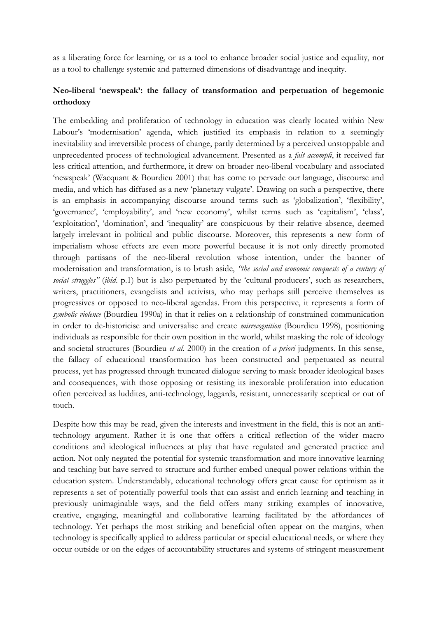as a liberating force for learning, or as a tool to enhance broader social justice and equality, nor as a tool to challenge systemic and patterned dimensions of disadvantage and inequity.

## **Neo-liberal 'newspeak': the fallacy of transformation and perpetuation of hegemonic orthodoxy**

The embedding and proliferation of technology in education was clearly located within New Labour's 'modernisation' agenda, which justified its emphasis in relation to a seemingly inevitability and irreversible process of change, partly determined by a perceived unstoppable and unprecedented process of technological advancement. Presented as a *fait accompli*, it received far less critical attention, and furthermore, it drew on broader neo-liberal vocabulary and associated 'newspeak' (Wacquant & Bourdieu 2001) that has come to pervade our language, discourse and media, and which has diffused as a new 'planetary vulgate'. Drawing on such a perspective, there is an emphasis in accompanying discourse around terms such as 'globalization', 'flexibility', 'governance', 'employability', and 'new economy', whilst terms such as 'capitalism', 'class', 'exploitation', 'domination', and 'inequality' are conspicuous by their relative absence, deemed largely irrelevant in political and public discourse. Moreover, this represents a new form of imperialism whose effects are even more powerful because it is not only directly promoted through partisans of the neo-liberal revolution whose intention, under the banner of modernisation and transformation, is to brush aside, *"the social and economic conquests of a century of social struggles"* (*ibid*. p.1) but is also perpetuated by the 'cultural producers', such as researchers, writers, practitioners, evangelists and activists, who may perhaps still perceive themselves as progressives or opposed to neo-liberal agendas. From this perspective, it represents a form of *symbolic violence* (Bourdieu 1990a) in that it relies on a relationship of constrained communication in order to de-historicise and universalise and create *misrecognition* (Bourdieu 1998), positioning individuals as responsible for their own position in the world, whilst masking the role of ideology and societal structures (Bourdieu *et al*. 2000) in the creation of *a priori* judgments. In this sense, the fallacy of educational transformation has been constructed and perpetuated as neutral process, yet has progressed through truncated dialogue serving to mask broader ideological bases and consequences, with those opposing or resisting its inexorable proliferation into education often perceived as luddites, anti-technology, laggards, resistant, unnecessarily sceptical or out of touch.

Despite how this may be read, given the interests and investment in the field, this is not an antitechnology argument. Rather it is one that offers a critical reflection of the wider macro conditions and ideological influences at play that have regulated and generated practice and action. Not only negated the potential for systemic transformation and more innovative learning and teaching but have served to structure and further embed unequal power relations within the education system. Understandably, educational technology offers great cause for optimism as it represents a set of potentially powerful tools that can assist and enrich learning and teaching in previously unimaginable ways, and the field offers many striking examples of innovative, creative, engaging, meaningful and collaborative learning facilitated by the affordances of technology. Yet perhaps the most striking and beneficial often appear on the margins, when technology is specifically applied to address particular or special educational needs, or where they occur outside or on the edges of accountability structures and systems of stringent measurement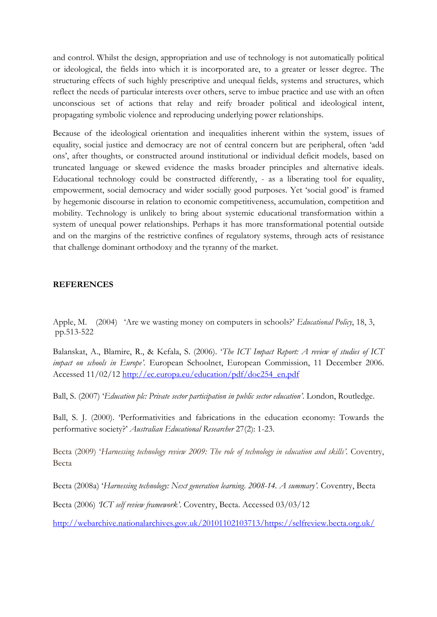and control. Whilst the design, appropriation and use of technology is not automatically political or ideological, the fields into which it is incorporated are, to a greater or lesser degree. The structuring effects of such highly prescriptive and unequal fields, systems and structures, which reflect the needs of particular interests over others, serve to imbue practice and use with an often unconscious set of actions that relay and reify broader political and ideological intent, propagating symbolic violence and reproducing underlying power relationships.

Because of the ideological orientation and inequalities inherent within the system, issues of equality, social justice and democracy are not of central concern but are peripheral, often 'add ons', after thoughts, or constructed around institutional or individual deficit models, based on truncated language or skewed evidence the masks broader principles and alternative ideals. Educational technology could be constructed differently, - as a liberating tool for equality, empowerment, social democracy and wider socially good purposes. Yet 'social good' is framed by hegemonic discourse in relation to economic competitiveness, accumulation, competition and mobility. Technology is unlikely to bring about systemic educational transformation within a system of unequal power relationships. Perhaps it has more transformational potential outside and on the margins of the restrictive confines of regulatory systems, through acts of resistance that challenge dominant orthodoxy and the tyranny of the market.

## **REFERENCES**

Apple, M. (2004) 'Are we wasting money on computers in schools?' *Educational Policy*, 18, 3, pp.513-522

Balanskat, A., Blamire, R., & Kefala, S. (2006). '*The ICT Impact Report: A review of studies of ICT impact on schools in Europe'.* European Schoolnet, European Commission, 11 December 2006. Accessed 11/02/12 [http://ec.europa.eu/education/pdf/doc254\\_en.pdf](http://ec.europa.eu/education/pdf/doc254_en.pdf)

Ball, S. (2007) '*Education plc: Private sector participation in public sector education'*. London, Routledge.

Ball, S. J. (2000). 'Performativities and fabrications in the education economy: Towards the performative society?' *Australian Educational Researcher* 27(2): 1-23.

Becta (2009) '*Harnessing technology review 2009: The role of technology in education and skills'.* Coventry, Becta

Becta (2008a) '*Harnessing technology: Next generation learning*. *2008-14. A summary'.* Coventry, Becta

Becta (2006) *'ICT self review framework'*. Coventry, Becta. Accessed 03/03/12

[http://webarchive.nationalarchives.gov.uk/20101102103713/https://selfreview.becta.org.uk/](http://webarchive.nationalarchives.gov.uk/20101102103713/https:/selfreview.becta.org.uk/)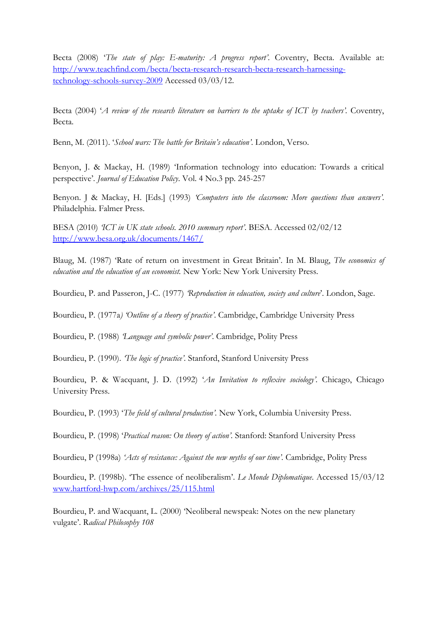Becta (2008) '*The state of play: E-maturity: A progress report'*. Coventry, Becta. Available at: [http://www.teachfind.com/becta/becta-research-research-becta-research-harnessing](http://www.teachfind.com/becta/becta-research-research-becta-research-harnessing-technology-schools-survey-2009%20Accessed%2003/03/12)[technology-schools-survey-2009](http://www.teachfind.com/becta/becta-research-research-becta-research-harnessing-technology-schools-survey-2009%20Accessed%2003/03/12) Accessed 03/03/12.

Becta (2004) '*A review of the research literature on barriers to the uptake of ICT by teachers'.* Coventry, Becta.

Benn, M. (2011). '*School wars: The battle for Britain's education'*. London, Verso.

Benyon, J. & Mackay, H. (1989) 'Information technology into education: Towards a critical perspective'*. Journal of Education Policy*. Vol. 4 No.3 pp. 245-257

Benyon. J & Mackay, H. [Eds.] (1993) *'Computers into the classroom: More questions than answers'*. Philadelphia. Falmer Press.

BESA (2010) *'ICT in UK state schools. 2010 summary report'*. BESA. Accessed 02/02/12 <http://www.besa.org.uk/documents/1467/>

Blaug, M. (1987) 'Rate of return on investment in Great Britain'. In M. Blaug, *The economics of education and the education of an economist.* New York: New York University Press.

Bourdieu, P. and Passeron, J-C. (1977) *'Reproduction in education, society and culture*'. London, Sage.

Bourdieu, P. (1977a*) 'Outline of a theory of practice'*. Cambridge, Cambridge University Press

Bourdieu, P. (1988) *'Language and symbolic power'*. Cambridge, Polity Press

Bourdieu, P. (1990). *'The logic of practice'*. Stanford, Stanford University Press

Bourdieu, P. & Wacquant, J. D. (1992) '*An Invitation to reflexive sociology'.* Chicago, Chicago University Press.

Bourdieu, P. (1993) '*The field of cultural production'.* New York, Columbia University Press.

Bourdieu, P. (1998) '*Practical reason: On theory of action'.* Stanford: Stanford University Press

Bourdieu, P (1998a) *'Acts of resistance: Against the new myths of our time'*. Cambridge, Polity Press

Bourdieu, P. (1998b). 'The essence of neoliberalism'. *Le Monde Diplomatique*. Accessed 15/03/12 [www.hartford-hwp.com/archives/25/115.html](http://www.hartford-hwp.com/archives/25/115.html)

Bourdieu, P. and Wacquant, L. (2000) 'Neoliberal newspeak: Notes on the new planetary vulgate'. R*adical Philosophy 108*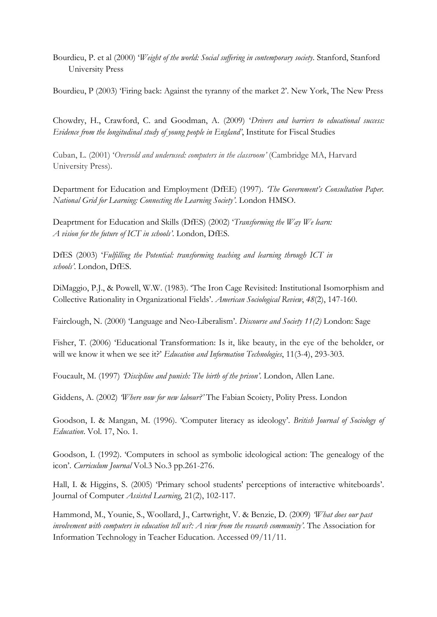Bourdieu, P. et al (2000) '*Weight of the world: Social suffering in contemporary society*. Stanford, Stanford University Press

Bourdieu, P (2003) 'Firing back: Against the tyranny of the market 2'. New York, The New Press

Chowdry, H., Crawford, C. and Goodman, A. (2009) '*Drivers and barriers to educational success: Evidence from the longitudinal study of young people in England'*, Institute for Fiscal Studies

Cuban, L. (2001) '*Oversold and underused: computers in the classroom'* (Cambridge MA, Harvard University Press).

Department for Education and Employment (DfEE) (1997). *'The Government's Consultation Paper. National Grid for Learning: Connecting the Learning Society'*. London HMSO.

Deaprtment for Education and Skills (DfES) (2002) '*Transforming the Way We learn: A vision for the future of ICT in schools'*. London, DfES.

DfES (2003) '*Fulfilling the Potential: transforming teaching and learning through ICT in schools'*. London, DfES.

DiMaggio, P.J., & Powell, W.W. (1983). 'The Iron Cage Revisited: Institutional Isomorphism and Collective Rationality in Organizational Fields'. *American Sociological Review*, *48*(2), 147-160.

Fairclough, N. (2000) 'Language and Neo-Liberalism'. *Discourse and Society 11(2)* London: Sage

Fisher, T. (2006) 'Educational Transformation: Is it, like beauty, in the eye of the beholder, or will we know it when we see it?' *Education and Information Technologies*, 11(3-4), 293-303.

Foucault, M. (1997) *'Discipline and punish: The birth of the prison'*. London, Allen Lane.

Giddens, A. (2002) *'Where now for new labour?'* The Fabian Scoiety, Polity Press. London

Goodson, I. & Mangan, M. (1996). 'Computer literacy as ideology'. *British Journal of Sociology of Education*. Vol. 17, No. 1.

Goodson, I. (1992). 'Computers in school as symbolic ideological action: The genealogy of the icon'. *Curriculum Journal* Vol.3 No.3 pp.261-276.

Hall, I. & Higgins, S. (2005) 'Primary school students' perceptions of interactive whiteboards'. Journal of Computer *Assisted Learning*, 21(2), 102-117.

Hammond, M., Younie, S., Woollard, J., Cartwright, V. & Benzie, D. (2009) *'What does our past involvement with computers in education tell us?: A view from the research community'*. The Association for Information Technology in Teacher Education. Accessed 09/11/11.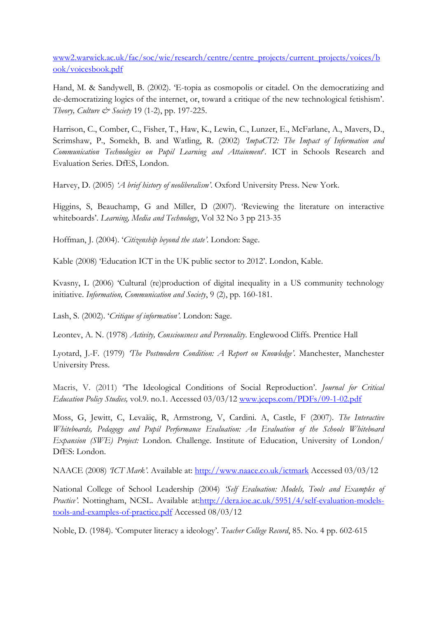[www2.warwick.ac.uk/fac/soc/wie/research/centre/centre\\_projects/current\\_projects/voices/b](http://www2.warwick.ac.uk/fac/soc/wie/research/centre/centre_projects/current_projects/voices/book/voicesbook.pdf) [ook/voicesbook.pdf](http://www2.warwick.ac.uk/fac/soc/wie/research/centre/centre_projects/current_projects/voices/book/voicesbook.pdf)

Hand, M. & Sandywell, B. (2002). 'E-topia as cosmopolis or citadel. On the democratizing and de-democratizing logics of the internet, or, toward a critique of the new technological fetishism'. *Theory, Culture & Society* 19 (1-2), pp. 197-225.

Harrison, C., Comber, C., Fisher, T., Haw, K., Lewin, C., Lunzer, E., McFarlane, A., Mavers, D., Scrimshaw, P., Somekh, B. and Watling, R. (2002) *'ImpaCT2: The Impact of Information and Communication Technologies on Pupil Learning and Attainment*'. ICT in Schools Research and Evaluation Series. DfES, London.

Harvey, D. (2005) *'A brief history of neoliberalism'*. Oxford University Press. New York.

Higgins, S, Beauchamp, G and Miller, D (2007). 'Reviewing the literature on interactive whiteboards'. *Learning, Media and Technology*, Vol 32 No 3 pp 213-35

Hoffman, J. (2004). '*Citizenship beyond the state'*. London: Sage.

Kable (2008) 'Education ICT in the UK public sector to 2012'. London, Kable.

Kvasny, L (2006) 'Cultural (re)production of digital inequality in a US community technology initiative. *Information, Communication and Society*, 9 (2), pp. 160-181.

Lash, S. (2002). '*Critique of information'*. London: Sage.

Leontev, A. N. (1978) *Activity, Consciousness and Personality*. Englewood Cliffs. Prentice Hall

Lyotard, J.-F. (1979) *'The Postmodern Condition: A Report on Knowledge'*. Manchester, Manchester University Press.

Macris, V. (2011) 'The Ideological Conditions of Social Reproduction'. *Journal for Critical Education Policy Studies,* vol.9. no.1. Accessed 03/03/12 [www.jceps.com/PDFs/09-1-02.pdf](http://www.jceps.com/PDFs/09-1-02.pdf)

Moss, G, Jewitt, C, Levaãiç, R, Armstrong, V, Cardini. A, Castle, F (2007). *The Interactive Whiteboards, Pedagogy and Pupil Performance Evaluation: An Evaluation of the Schools Whiteboard Expansion (SWE) Project:* London. Challenge. Institute of Education, University of London/ DfES: London.

NAACE (2008) *'ICT Mark'*. Available at:<http://www.naace.co.uk/ictmark> Accessed 03/03/12

National College of School Leadership (2004) *'Self Evaluation: Models, Tools and Examples of Practice*<sup>2</sup>. Nottingham, NCSL. Available at: http://dera.ioe.ac.uk/5951/4/self-evaluation-models[tools-and-examples-of-practice.pdf](http://dera.ioe.ac.uk/5951/4/self-evaluation-models-tools-and-examples-of-practice.pdf) Accessed 08/03/12

Noble, D. (1984). 'Computer literacy a ideology'. *Teacher College Record*, 85. No. 4 pp. 602-615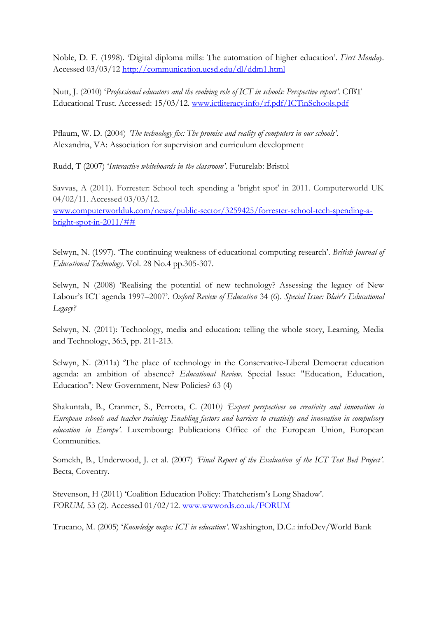Noble, D. F. (1998). 'Digital diploma mills: The automation of higher education'. *First Monday*. Accessed 03/03/12<http://communication.ucsd.edu/dl/ddm1.html>

Nutt, J. (2010) '*Professional educators and the evolving role of ICT in schools: Perspective report'*. CfBT Educational Trust. Accessed: 15/03/12. [www.ictliteracy.info/rf.pdf/ICTinSchools.pdf](http://www.ictliteracy.info/rf.pdf/ICTinSchools.pdf)

Pflaum, W. D. (2004) *'The technology fix: The promise and reality of computers in our schools'*. Alexandria, VA: Association for supervision and curriculum development

Rudd, T (2007) '*Interactive whiteboards in the classroom'*. Futurelab: Bristol

Savvas, A (2011). Forrester: School tech spending a 'bright spot' in 2011. Computerworld UK 04/02/11. Accessed 03/03/12. [www.computerworlduk.com/news/public-sector/3259425/forrester-school-tech-spending-a](http://www.computerworlduk.com/news/public-sector/3259425/forrester-school-tech-spending-a-bright-spot-in-2011/)[bright-spot-in-2011/##](http://www.computerworlduk.com/news/public-sector/3259425/forrester-school-tech-spending-a-bright-spot-in-2011/)

Selwyn, N. (1997). 'The continuing weakness of educational computing research'. *British Journal of Educational Technology*. Vol. 28 No.4 pp.305-307.

Selwyn, N (2008) 'Realising the potential of new technology? Assessing the legacy of New Labour's ICT agenda 1997–2007'. *Oxford Review of Education* 34 (6). *Special Issue: Blair's Educational Legacy?* 

Selwyn, N. (2011): Technology, media and education: telling the whole story, Learning, Media and Technology, 36:3, pp. 211-213.

Selwyn, N. (2011a) 'The place of technology in the Conservative-Liberal Democrat education agenda: an ambition of absence? *Educational Review.* Special Issue: "Education, Education, Education": New Government, New Policies? 63 (4)

Shakuntala, B., Cranmer, S., Perrotta, C. (2010*) 'Expert perspectives on creativity and innovation in European schools and teacher training: Enabling factors and barriers to creativity and innovation in compulsory education in Europe'*. Luxembourg: Publications Office of the European Union, European Communities.

Somekh, B., Underwood, J. et al. (2007) *'Final Report of the Evaluation of the ICT Test Bed Project'*. Becta, Coventry.

Stevenson, H (2011) 'Coalition Education Policy: Thatcherism's Long Shadow'. *FORUM,* 53 (2). Accessed 01/02/12. [www.wwwords.co.uk/FORUM](http://www.wwwords.co.uk/FORUM)

Trucano, M. (2005) '*Knowledge maps: ICT in education'*. Washington, D.C.: infoDev/World Bank